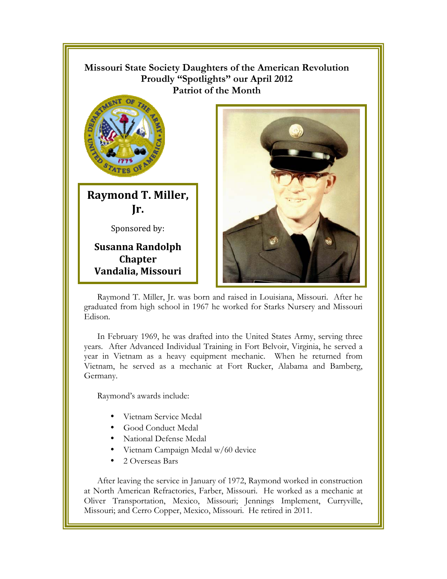

Raymond T. Miller, Jr. was born and raised in Louisiana, Missouri. After he graduated from high school in 1967 he worked for Starks Nursery and Missouri Edison.

In February 1969, he was drafted into the United States Army, serving three years. After Advanced Individual Training in Fort Belvoir, Virginia, he served a year in Vietnam as a heavy equipment mechanic. When he returned from Vietnam, he served as a mechanic at Fort Rucker, Alabama and Bamberg, Germany.

Raymond's awards include:

- Vietnam Service Medal
- Good Conduct Medal
- National Defense Medal
- Vietnam Campaign Medal w/60 device
- 2 Overseas Bars

After leaving the service in January of 1972, Raymond worked in construction at North American Refractories, Farber, Missouri. He worked as a mechanic at Oliver Transportation, Mexico, Missouri; Jennings Implement, Curryville, Missouri; and Cerro Copper, Mexico, Missouri. He retired in 2011.